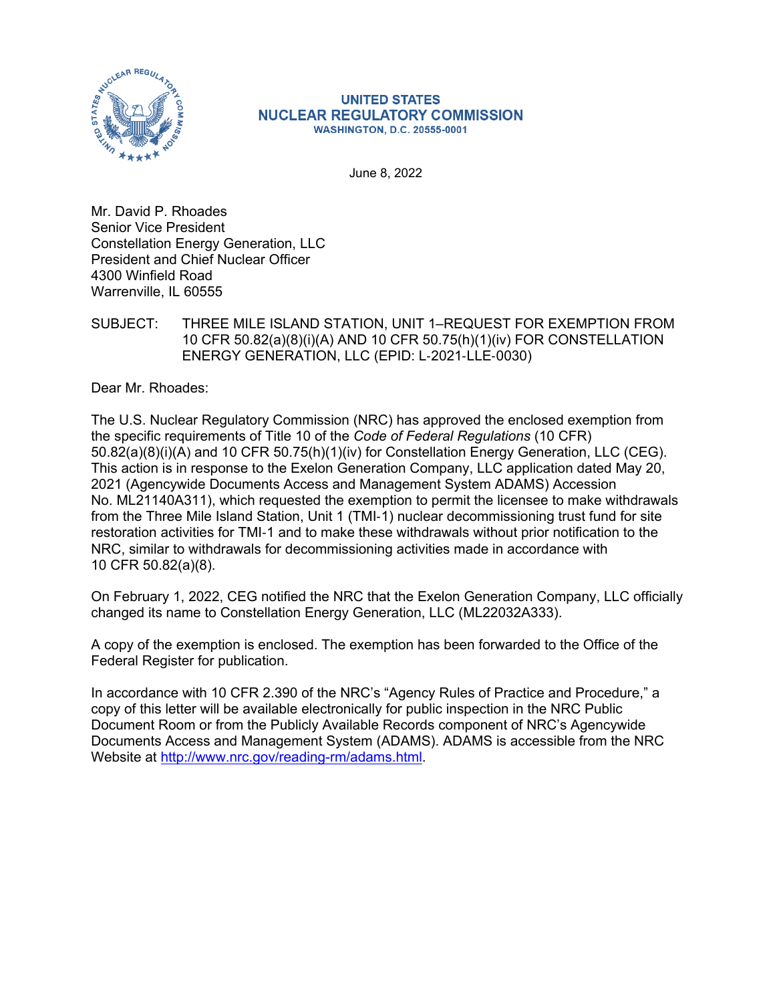

#### **UNITED STATES NUCLEAR REGULATORY COMMISSION WASHINGTON, D.C. 20555-0001**

June 8, 2022

Mr. David P. Rhoades Senior Vice President Constellation Energy Generation, LLC President and Chief Nuclear Officer 4300 Winfield Road Warrenville, IL 60555

SUBJECT: THREE MILE ISLAND STATION, UNIT 1–REQUEST FOR EXEMPTION FROM 10 CFR 50.82(a)(8)(i)(A) AND 10 CFR 50.75(h)(1)(iv) FOR CONSTELLATION ENERGY GENERATION, LLC (EPID: L‑2021‑LLE‑0030)

Dear Mr. Rhoades:

The U.S. Nuclear Regulatory Commission (NRC) has approved the enclosed exemption from the specific requirements of Title 10 of the *Code of Federal Regulations* (10 CFR) 50.82(a)(8)(i)(A) and 10 CFR 50.75(h)(1)(iv) for Constellation Energy Generation, LLC (CEG). This action is in response to the Exelon Generation Company, LLC application dated May 20, 2021 (Agencywide Documents Access and Management System ADAMS) Accession No. ML21140A311), which requested the exemption to permit the licensee to make withdrawals from the Three Mile Island Station, Unit 1 (TMI-1) nuclear decommissioning trust fund for site restoration activities for TMI‑1 and to make these withdrawals without prior notification to the NRC, similar to withdrawals for decommissioning activities made in accordance with 10 CFR 50.82(a)(8).

On February 1, 2022, CEG notified the NRC that the Exelon Generation Company, LLC officially changed its name to Constellation Energy Generation, LLC (ML22032A333).

A copy of the exemption is enclosed. The exemption has been forwarded to the Office of the Federal Register for publication.

In accordance with 10 CFR 2.390 of the NRC's "Agency Rules of Practice and Procedure," a copy of this letter will be available electronically for public inspection in the NRC Public Document Room or from the Publicly Available Records component of NRC's Agencywide Documents Access and Management System (ADAMS). ADAMS is accessible from the NRC Website at [http://www.nrc.gov/reading-rm/adams.html.](http://www.nrc.gov/reading-rm/adams.html)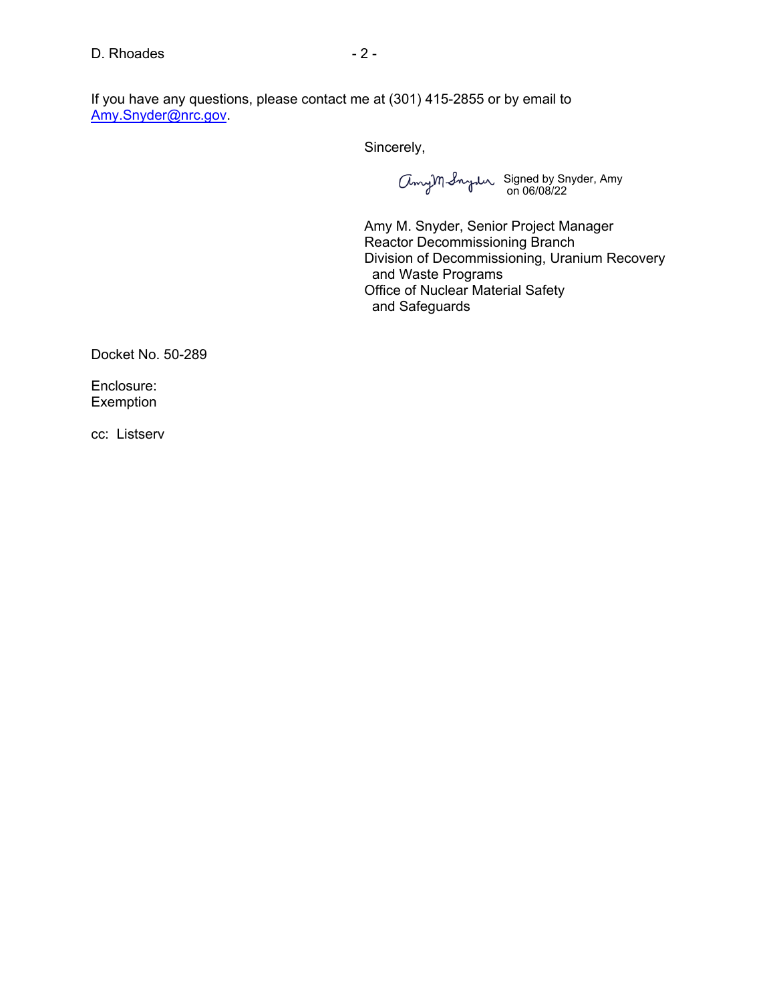If you have any questions, please contact me at (301) 415-2855 or by email to [Amy.Snyder@nrc.gov](mailto:Amy.Snyder@nrc.gov).

Sincerely,

Signed by Snyder, Amy on 06/08/22

Amy M. Snyder, Senior Project Manager Reactor Decommissioning Branch Division of Decommissioning, Uranium Recovery and Waste Programs Office of Nuclear Material Safety and Safeguards

Docket No. 50-289

Enclosure: Exemption

cc: Listserv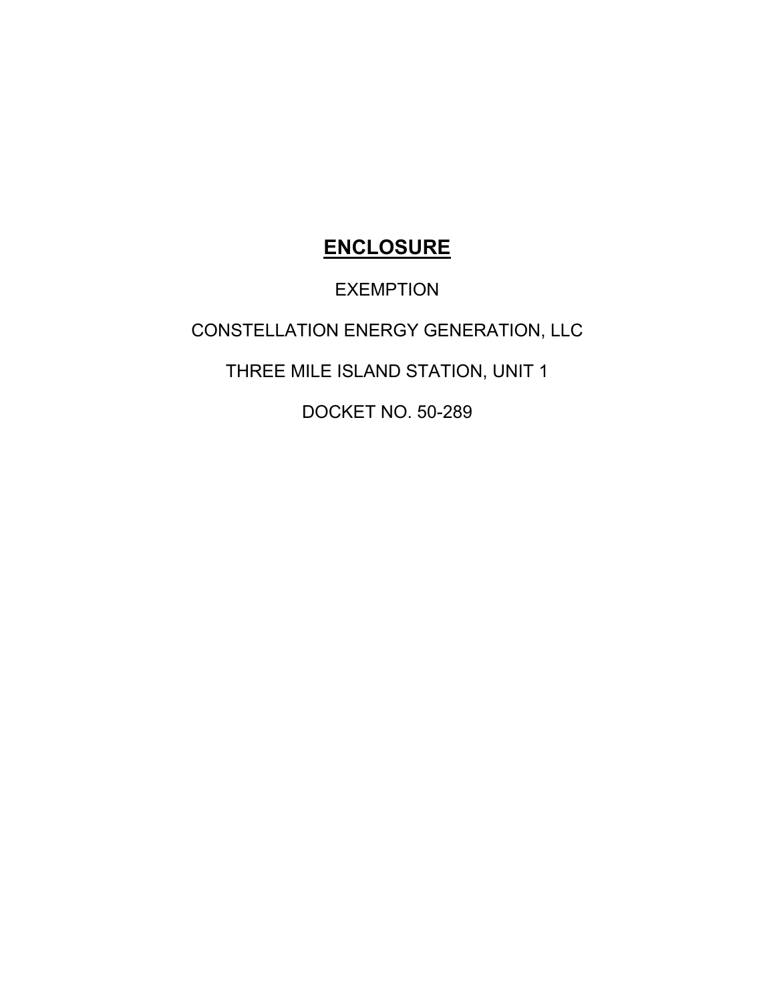# **ENCLOSURE**

## EXEMPTION

## CONSTELLATION ENERGY GENERATION, LLC

## THREE MILE ISLAND STATION, UNIT 1

DOCKET NO. 50-289